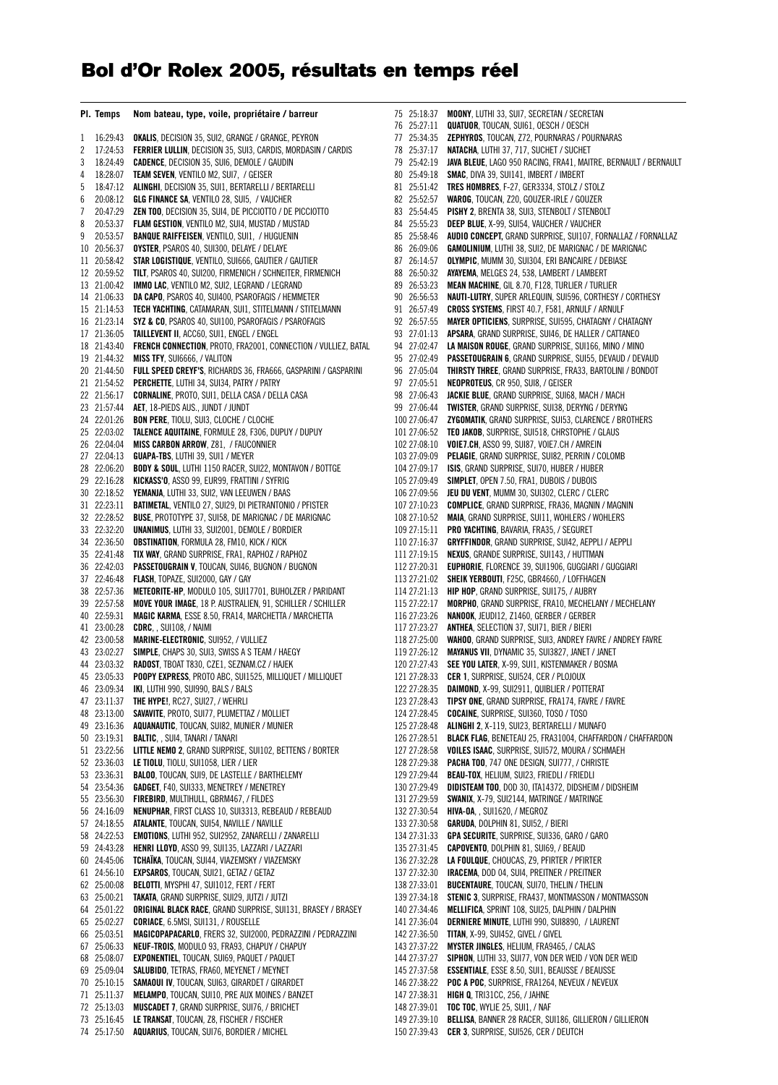## **Bol d'Or Rolex 2005, résultats en temps réel**

|          | PI. Temps            | Nom bateau, type, voile, propriétaire / barreur                                                                               |
|----------|----------------------|-------------------------------------------------------------------------------------------------------------------------------|
| 1        | 16:29:43             | <b>OKALIS, DECISION 35, SUI2, GRANGE / GRANGE, PEYRON</b>                                                                     |
| 2        | 17:24:53             | <b>FERRIER LULLIN, DECISION 35, SUI3, CARDIS, MORDASIN / CARDIS</b>                                                           |
| 3        | 18:24:49             | <b>CADENCE, DECISION 35, SUI6, DEMOLE / GAUDIN</b>                                                                            |
| 4        | 18:28:07             | TEAM SEVEN, VENTILO M2, SUI7, / GEISER                                                                                        |
| 5        | 18:47:12             | ALINGHI, DECISION 35, SUI1, BERTARELLI / BERTARELLI                                                                           |
| 6        | 20:08:12             | GLG FINANCE SA, VENTILO 28, SUI5, / VAUCHER                                                                                   |
| 7        | 20:47:29             | ZEN TOO, DECISION 35, SUI4, DE PICCIOTTO / DE PICCIOTTO                                                                       |
| 8        | 20:53:37             | <b>FLAM GESTION, VENTILO M2, SUI4, MUSTAD / MUSTAD</b>                                                                        |
| 9        | 20:53:57             | <b>BANQUE RAIFFEISEN, VENTILO, SUI1, / HUGUENIN</b>                                                                           |
| 10       | 20:56:37             | OYSTER, PSAROS 40, SUI300, DELAYE / DELAYE                                                                                    |
| 11<br>12 | 20:58:42             | <b>STAR LOGISTIQUE, VENTILO, SUI666, GAUTIER / GAUTIER</b><br>TILT, PSAROS 40, SUI200, FIRMENICH / SCHNEITER, FIRMENICH       |
| 13       | 20:59:52<br>21:00:42 | IMMO LAC, VENTILO M2, SUI2, LEGRAND / LEGRAND                                                                                 |
| 14       | 21:06:33             | DA CAPO, PSAROS 40, SUI400, PSAROFAGIS / HEMMETER                                                                             |
| 15       | 21:14:53             | TECH YACHTING, CATAMARAN, SUI1, STITELMANN / STITELMANN                                                                       |
| 16       | 21:23:14             | SYZ & CO, PSAROS 40, SUI100, PSAROFAGIS / PSAROFAGIS                                                                          |
| 17       | 21:36:05             | TAILLEVENT II, ACC60, SUI1, ENGEL / ENGEL                                                                                     |
| 18       | 21:43:40             | <b>FRENCH CONNECTION, PROTO, FRA2001, CONNECTION / VULLIEZ, BATAL</b>                                                         |
| 19       | 21:44:32             | <b>MISS TFY, SUI6666, / VALITON</b>                                                                                           |
| 20       | 21:44:50             | FULL SPEED CREYF'S, RICHARDS 36, FRA666, GASPARINI / GASPARINI                                                                |
| 21       | 21:54:52             | <b>PERCHETTE, LUTHI 34, SUI34, PATRY / PATRY</b>                                                                              |
| 22       | 21:56:17             | <b>CORNALINE, PROTO, SUI1, DELLA CASA / DELLA CASA</b>                                                                        |
| 23       | 21:57:44             | AET, 18-PIEDS AUS., JUNDT / JUNDT                                                                                             |
| 24       | 22:01:26             | <b>BON PERE,</b> TIOLU, SUI3, CLOCHE / CLOCHE                                                                                 |
| 25       | 22:03:02             | <b>TALENCE AQUITAINE</b> , FORMULE 28, F306, DUPUY / DUPUY                                                                    |
| 26<br>27 | 22:04:04<br>22:04:13 | <b>MISS CARBON ARROW, Z81, / FAUCONNIER</b><br><b>GUAPA-TBS, LUTHI 39, SUI1 / MEYER</b>                                       |
| 28       | 22:06:20             | <b>BODY &amp; SOUL, LUTHI 1150 RACER, SUI22, MONTAVON / BOTTGE</b>                                                            |
| 29       | 22:16:28             | KICKASS'O, ASSO 99, EUR99, FRATTINI / SYFRIG                                                                                  |
| 30       | 22:18:52             | <b>YEMANJA</b> , LUTHI 33, SUI2, VAN LEEUWEN / BAAS                                                                           |
| 31       | 22:23:11             | <b>BATIMETAL, VENTILO 27, SUI29, DI PIETRANTONIO / PFISTER</b>                                                                |
| 32       | 22:28:52             | <b>BUSE, PROTOTYPE 37, SUI58, DE MARIGNAC / DE MARIGNAC</b>                                                                   |
| 33       | 22:32:20             | <b>UNANIMUS, LUTHI 33, SUI2001, DEMOLE / BORDIER</b>                                                                          |
| 34       | 22:36:50             | <b>OBSTINATION, FORMULA 28, FM10, KICK / KICK</b>                                                                             |
| 35       | 22:41:48             | <b>TIX WAY</b> , GRAND SURPRISE, FRA1, RAPHOZ / RAPHOZ                                                                        |
| 36       | 22:42:03             | <b>PASSETOUGRAIN V</b> , TOUCAN, SUI46, BUGNON / BUGNON                                                                       |
| 37       | 22:46:48             | FLASH, TOPAZE, SUI2000, GAY / GAY                                                                                             |
| 38<br>39 | 22:57:36<br>22:57:58 | METEORITE-HP, MODULO 105, SUI17701, BUHOLZER / PARIDANT<br><b>MOVE YOUR IMAGE</b> , 18 P. AUSTRALIEN, 91, SCHILLER / SCHILLER |
| 40       | 22:59:31             | <b>MAGIC KARMA, ESSE 8.50, FRA14, MARCHETTA / MARCHETTA</b>                                                                   |
| 41       | 23:00:28             | CDRC. , SUI108, / NAIMI                                                                                                       |
| 42       | 23:00:58             | <b>MARINE-ELECTRONIC, SUI952, / VULLIEZ</b>                                                                                   |
| 43       | 23:02:27             | <b>SIMPLE, CHAPS 30, SUI3, SWISS A S TEAM / HAEGY</b>                                                                         |
| 44       | 23:03:32             | <b>RADOST</b> , TBOAT T830, CZE1, SEZNAM.CZ / HAJEK                                                                           |
| 45       | 23:05:33             | <b>POOPY EXPRESS</b> , PROTO ABC, SUI1525, MILLIQUET / MILLIQUET                                                              |
| 46       | 23:09:34             | IKI, LUTHI 990, SUI990, BALS / BALS                                                                                           |
| 47       | 23:11:37             | THE HYPE!, RC27, SUI27, / WEHRLI                                                                                              |
| 48       | 23:13:00             | SAVAVITE, PROTO, SUI77, PLUMETTAZ / MOLLIET                                                                                   |
| 49<br>50 | 23:16:36<br>23:19:31 | AQUANAUTIC, TOUCAN, SUI82, MUNIER / MUNIER<br><b>BALTIC, , SUI4, TANARI / TANARI</b>                                          |
| 51       | 23:22:56             | LITTLE NEMO 2, GRAND SURPRISE, SUI102, BETTENS / BORTER                                                                       |
| 52       | 23:36:03             | LE TIOLU, TIOLU, SUI1058, LIER / LIER                                                                                         |
| 53       | 23:36:31             | <b>BALOO, TOUCAN, SUI9, DE LASTELLE / BARTHELEMY</b>                                                                          |
| 54       | 23:54:36             | GADGET, F40, SUI333, MENETREY / MENETREY                                                                                      |
| 55       | 23:56:30             | FIREBIRD, MULTIHULL, GBRM467, / FILDES                                                                                        |
| 56       | 24:16:09             | NENUPHAR, FIRST CLASS 10, SUI3313, REBEAUD / REBEAUD                                                                          |
| 57       | 24:18:55             | ATALANTE, TOUCAN, SUI54, NAVILLE / NAVILLE                                                                                    |
| 58       | 24:22:53             | EMOTIONS, LUTHI 952, SUI2952, ZANARELLI / ZANARELLI                                                                           |
| 59       | 24:43:28             | HENRI LLOYD, ASSO 99, SUI135, LAZZARI / LAZZARI                                                                               |
| 60       | 24:45:06             | TCHAÏKA, TOUCAN, SUI44, VIAZEMSKY / VIAZEMSKY<br>EXPSAROS, TOUCAN, SUI21, GETAZ / GETAZ                                       |
| 61<br>62 | 24:56:10<br>25:00:08 | BELOTTI, MYSPHI 47, SUI1012, FERT / FERT                                                                                      |
| 63       | 25:00:21             | TAKATA, GRAND SURPRISE, SUI29, JUTZI / JUTZI                                                                                  |
| 64       | 25:01:22             | ORIGINAL BLACK RACE, GRAND SURPRISE, SUI131, BRASEY / BRASEY                                                                  |
| 65       | 25:02:27             | CORIACE, 6.5MSI, SUI131, / ROUSELLE                                                                                           |
| 66       | 25:03:51             | MAGICOPAPACARLO, FRERS 32, SUI2000, PEDRAZZINI / PEDRAZZINI                                                                   |
| 67       | 25:06:33             | NEUF-TROIS, MODULO 93, FRA93, CHAPUY / CHAPUY                                                                                 |
| 68       | 25:08:07             | EXPONENTIEL, TOUCAN, SUI69, PAQUET / PAQUET                                                                                   |
| 69       | 25:09:04             | SALUBIDO, TETRAS, FRA60, MEYENET / MEYNET                                                                                     |
| 70       | 25:10:15             | SAMAOUI IV, TOUCAN, SUI63, GIRARDET / GIRARDET                                                                                |
| 71       | 25:11:37             | MELAMPO, TOUCAN, SUI10, PRE AUX MOINES / BANZET                                                                               |
| 72<br>73 | 25:13:03<br>25:16:45 | <b>MUSCADET 7, GRAND SURPRISE, SUI76, / BRICHET</b><br>LE TRANSAT, TOUCAN, Z8, FISCHER / FISCHER                              |
| 74       | 25:17:50             | AQUARIUS, TOUCAN, SUI76, BORDIER / MICHEL                                                                                     |
|          |                      |                                                                                                                               |

| 75 | 25:18:37     | MOONY, LUTHI 33, SUI7, SECRETAN / SECRETAN                              |
|----|--------------|-------------------------------------------------------------------------|
| 76 | 25:27:11     | <b>QUATUOR</b> , TOUCAN, SUI61, OESCH / OESCH                           |
| 77 | 25:34:35     | ZEPHYROS, TOUCAN, Z72, POURNARAS / POURNARAS                            |
| 78 | 25:37:17     | <b>NATACHA</b> , LUTHI 37, 717, SUCHET / SUCHET                         |
| 79 | 25:42:19     | <b>JAVA BLEUE</b> , LAGO 950 RACING, FRA41, MAITRE, BERNAULT / BERNAULT |
| 80 | 25:49:18     | SMAC, DIVA 39, SUI141, IMBERT / IMBERT                                  |
| 81 | 25:51:42     | <b>TRES HOMBRES, F-27, GER3334, STOLZ / STOLZ</b>                       |
| 82 | 25:52:57     | WAROG, TOUCAN, Z20, GOUZER-IRLE / GOUZER                                |
| 83 | 25:54:45     | PISHY 2, BRENTA 38, SUI3, STENBOLT / STENBOLT                           |
| 84 | 25:55:23     | <b>DEEP BLUE, X-99, SUI54, VAUCHER / VAUCHER</b>                        |
| 85 | 25:58:46     | <b>AUDIO CONCEPT, GRAND SURPRISE, SUI107, FORNALLAZ / FORNALLAZ</b>     |
| 86 | 26:09:06     | GAMOLINIUM, LUTHI 38, SUI2, DE MARIGNAC / DE MARIGNAC                   |
| 87 | 26:14:57     | OLYMPIC, MUMM 30, SUI304, ERI BANCAIRE / DEBIASE                        |
| 88 | 26:50:32     | AYAYEMA, MELGES 24, 538, LAMBERT / LAMBERT                              |
| 89 | 26:53:23     | MEAN MACHINE, GIL 8.70, F128, TURLIER / TURLIER                         |
| 90 | 26:56:53     | <b>NAUTI-LUTRY</b> , SUPER ARLEQUIN, SUI596, CORTHESY / CORTHESY        |
| 91 | 26:57:49     | CROSS SYSTEMS, FIRST 40.7, F581, ARNULF / ARNULF                        |
| 92 | 26:57:55     | MAYER OPTICIENS, SURPRISE, SUI595, CHATAGNY / CHATAGNY                  |
| 93 | 27:01:13     | APSARA, GRAND SURPRISE, SUI46, DE HALLER / CATTANEO                     |
| 94 | 27:02:47     | LA MAISON ROUGE, GRAND SURPRISE, SUI166, MINO / MINO                    |
| 95 | 27:02:49     | <b>PASSETOUGRAIN 6, GRAND SURPRISE, SUI55, DEVAUD / DEVAUD</b>          |
| 96 | 27:05:04     | <b>THIRSTY THREE, GRAND SURPRISE, FRA33, BARTOLINI / BONDOT</b>         |
|    |              | NEOPROTEUS, CR 950, SUI8, / GEISER                                      |
| 97 | 27:05:51     |                                                                         |
| 98 | 27:06:43     | JACKIE BLUE, GRAND SURPRISE, SUI68, MACH / MACH                         |
| 99 | 27:06:44     | <b>TWISTER, GRAND SURPRISE, SUI38, DERYNG / DERYNG</b>                  |
|    | 100 27:06:47 | ZYGOMATIK, GRAND SURPRISE, SUI53, CLARENCE / BROTHERS                   |
|    | 101 27:06:52 | <b>TEO JAKOB, SURPRISE, SUI518, CHRSTOPHE / GLAUS</b>                   |
|    | 102 27:08:10 | VOIE7.CH, ASSO 99, SUI87, VOIE7.CH / AMREIN                             |
|    | 103 27:09:09 | PELAGIE, GRAND SURPRISE, SUI82, PERRIN / COLOMB                         |
|    | 104 27:09:17 | ISIS, GRAND SURPRISE, SUI70, HUBER / HUBER                              |
|    | 105 27:09:49 | <b>SIMPLET, OPEN 7.50, FRA1, DUBOIS / DUBOIS</b>                        |
|    | 106 27:09:56 | JEU DU VENT, MUMM 30, SUI302, CLERC / CLERC                             |
|    | 107 27:10:23 | <b>COMPLICE</b> , GRAND SURPRISE, FRA36, MAGNIN / MAGNIN                |
|    | 108 27:10:52 | MAIA, GRAND SURPRISE, SUI11, WOHLERS / WOHLERS                          |
|    | 109 27:15:11 | PRO YACHTING, BAVARIA, FRA35, / SEGURET                                 |
|    | 110 27:16:37 | GRYFFINDOR, GRAND SURPRISE, SUI42, AEPPLI / AEPPLI                      |
|    | 111 27:19:15 | <b>NEXUS</b> , GRANDE SURPRISE, SUI143, / HUTTMAN                       |
|    | 112 27:20:31 | EUPHORIE, FLORENCE 39, SUI1906, GUGGIARI / GUGGIARI                     |
|    | 113 27:21:02 | SHEIK YERBOUTI, F25C, GBR4660, / LOFFHAGEN                              |
|    | 114 27:21:13 | HIP HOP, GRAND SURPRISE, SUI175, / AUBRY                                |
|    | 115 27:22:17 | MORPHO, GRAND SURPRISE, FRA10, MECHELANY / MECHELANY                    |
|    | 116 27:23:26 | NANOOK, JEUDI12, Z1460, GERBER / GERBER                                 |
|    | 117 27:23:27 | ANTHEA, SELECTION 37, SUI71, BIER / BIERI                               |
|    | 118 27:25:00 | WAHOO, GRAND SURPRISE, SUI3, ANDREY FAVRE / ANDREY FAVRE                |
|    | 119 27:26:12 | MAYANUS VII, DYNAMIC 35, SUI3827, JANET / JANET                         |
|    | 120 27:27:43 | <b>SEE YOU LATER, X-99, SUI1, KISTENMAKER / BOSMA</b>                   |
|    | 121 27:28:33 | CER 1, SURPRISE, SUI524, CER / PLOJOUX                                  |
|    | 122 27:28:35 | DAIMOND, X-99, SUI2911, QUIBLIER / POTTERAT                             |
|    | 123 27:28:43 | TIPSY ONE, GRAND SURPRISE, FRA174, FAVRE / FAVRE                        |
|    | 124 27:28:45 | COCAINE, SURPRISE, SUI360, TOSO / TOSO                                  |
|    | 125 27:28:48 | ALINGHI 2, X-119, SUI23, BERTARELLI / MUNAFO                            |
|    | 126 27:28:51 | <b>BLACK FLAG, BENETEAU 25, FRA31004, CHAFFARDON / CHAFFARDON</b>       |
|    | 127 27:28:58 | VOILES ISAAC, SURPRISE, SUI572, MOURA / SCHMAEH                         |
|    | 128 27:29:38 | PACHA TOO, 747 ONE DESIGN, SUI777, / CHRISTE                            |
|    | 129 27:29:44 | <b>BEAU-TOX, HELIUM, SUI23, FRIEDLI / FRIEDLI</b>                       |
|    | 130 27:29:49 | DIDISTEAM TOO, DOD 30, ITA14372, DIDSHEIM / DIDSHEIM                    |
|    | 131 27:29:59 | SWANIX, X-79, SUI2144, MATRINGE / MATRINGE                              |
|    | 132 27:30:54 | <b>HIVA-0A, , SUI1620, / MEGROZ</b>                                     |
|    | 133 27:30:58 | GARUDA, DOLPHIN 81, SUI52, / BIERI                                      |
|    | 134 27:31:33 | GPA SECURITE, SURPRISE, SUI336, GARO / GARO                             |
|    | 135 27:31:45 | <b>CAPOVENTO, DOLPHIN 81, SUI69, / BEAUD</b>                            |
|    | 136 27:32:28 | LA FOULQUE, CHOUCAS, Z9, PFIRTER / PFIRTER                              |
|    | 137 27:32:30 | IRACEMA, DOD 04, SUI4, PREITNER / PREITNER                              |
|    | 138 27:33:01 | <b>BUCENTAURE, TOUCAN, SUI70, THELIN / THELIN</b>                       |
|    | 139 27:34:18 | STENIC 3, SURPRISE, FRA437, MONTMASSON / MONTMASSON                     |
|    | 140 27:34:46 | MELLIFICA, SPRINT 108, SUI25, DALPHIN / DALPHIN                         |
|    | 141 27:36:04 | <b>DERNIERE MINUTE, LUTHI 990, SUI8890, / LAURENT</b>                   |
|    | 142 27:36:50 | TITAN, X-99, SUI452, GIVEL / GIVEL                                      |
|    | 143 27:37:22 | <b>MYSTER JINGLES, HELIUM, FRA9465, / CALAS</b>                         |
|    | 144 27:37:27 | <b>SIPHON, LUTHI 33, SUI77, VON DER WEID / VON DER WEID</b>             |
|    | 145 27:37:58 | <b>ESSENTIALE, ESSE 8.50, SUI1, BEAUSSE / BEAUSSE</b>                   |
|    | 146 27:38:22 | POC A POC, SURPRISE, FRA1264, NEVEUX / NEVEUX                           |
|    | 147 27:38:31 | <b>HIGH Q, TRI31CC, 256, / JAHNE</b>                                    |
|    | 148 27:39:01 | TOC TOC, WYLIE 25, SUI1, / NAF                                          |
|    | 149 27:39:10 | BELLISA, BANNER 28 RACER, SUI186, GILLIERON / GILLIERON                 |
|    | 150 27:39:43 | CER 3, SURPRISE, SUI526, CER / DEUTCH                                   |
|    |              |                                                                         |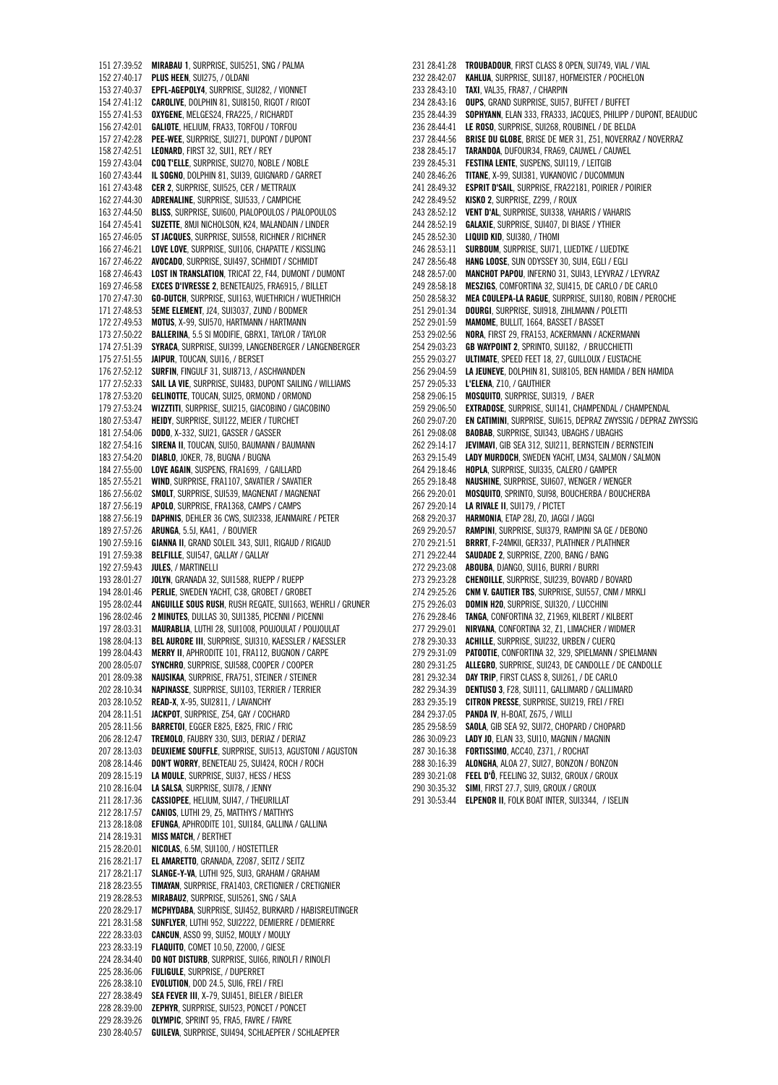151 27:39:52 **MIRABAU 1**, SURPRISE, SUI5251, SNG / PALMA 152 27:40:17 **PLUS HEEN**, SUI275, / OLDANI 153 27:40:37 **EPFL-AGEPOLY4**, SURPRISE, SUI282, / VIONNET 154 27:41:12 **CAROLIVE**, DOLPHIN 81, SUI8150, RIGOT / RIGOT 155 27:41:53 **OXYGENE**, MELGES24, FRA225, / RICHARDT 156 27:42:01 **GALIOTE**, HELIUM, FRA33, TORFOU / TORFOU 157 27:42:28 **PEE-WEE**, SURPRISE, SUI271, DUPONT / DUPONT 158 27:42:51 **LEONARD**, FIRST 32, SUI1, REY / REY 159 27:43:04 **COQ T'ELLE**, SURPRISE, SUI270, NOBLE / NOBLE 160 27:43:44 **IL SOGNO**, DOLPHIN 81, SUI39, GUIGNARD / GARRET 161 27:43:48 **CER 2**, SURPRISE, SUI525, CER / METTRAUX 162 27:44:30 **ADRENALINE**, SURPRISE, SUI533, / CAMPICHE 163 27:44:50 **BLISS**, SURPRISE, SUI600, PIALOPOULOS / PIALOPOULOS 164 27:45:41 **SUZETTE**, 8MJI NICHOLSON, K24, MALANDAIN / LINDER 165 27:46:05 **ST JACQUES**, SURPRISE, SUI558, RICHNER / RICHNER 166 27:46:21 **LOVE LOVE**, SURPRISE, SUI106, CHAPATTE / KISSLING 167 27:46:22 **AVOCADO**, SURPRISE, SUI497, SCHMIDT / SCHMIDT 168 27:46:43 **LOST IN TRANSLATION**, TRICAT 22, F44, DUMONT / DUMONT 169 27:46:58 **EXCES D'IVRESSE 2**, BENETEAU25, FRA6915, / BILLET 170 27:47:30 **GO-DUTCH**, SURPRISE, SUI163, WUETHRICH / WUETHRICH 171 27:48:53 **5EME ELEMENT**, J24, SUI3037, ZUND / BODMER 172 27:49:53 **MOTUS**, X-99, SUI570, HARTMANN / HARTMANN 173 27:50:22 **BALLERINA**, 5.5 SI MODIFIE, GBRX1, TAYLOR / TAYLOR 174 27:51:39 **SYRACA**, SURPRISE, SUI399, LANGENBERGER / LANGENBERGER 175 27:51:55 **JAIPUR**, TOUCAN, SUI16, / BERSET 176 27:52:12 **SURFIN**, FINGULF 31, SUI8713, / ASCHWANDEN 177 27:52:33 **SAIL LA VIE**, SURPRISE, SUI483, DUPONT SAILING / WILLIAMS 178 27:53:20 **GELINOTTE**, TOUCAN, SUI25, ORMOND / ORMOND 179 27:53:24 **WIZZTITI**, SURPRISE, SUI215, GIACOBINO / GIACOBINO 180 27:53:47 **HEIDY**, SURPRISE, SUI122, MEIER / TURCHET 181 27:54:06 **DODO**, X-332, SUI21, GASSER / GASSER 182 27:54:16 **SIRENA II**, TOUCAN, SUI50, BAUMANN / BAUMANN 183 27:54:20 **DIABLO**, JOKER, 78, BUGNA / BUGNA 184 27:55:00 **LOVE AGAIN**, SUSPENS, FRA1699, / GAILLARD 185 27:55:21 **WIND**, SURPRISE, FRA1107, SAVATIER / SAVATIER 186 27:56:02 **SMOLT**, SURPRISE, SUI539, MAGNENAT / MAGNENAT 187 27:56:19 **APOLO**, SURPRISE, FRA1368, CAMPS / CAMPS 188 27:56:19 **DAPHNIS**, DEHLER 36 CWS, SUI2338, JEANMAIRE / PETER 189 27:57:26 **ARUNGA**, 5.5J, KA41, / BOUVIER 190 27:59:16 **GIANNA II**, GRAND SOLEIL 343, SUI1, RIGAUD / RIGAUD 191 27:59:38 **BELFILLE**, SUI547, GALLAY / GALLAY 192 27:59:43 **JULES**, / MARTINELLI 193 28:01:27 **JOLYN**, GRANADA 32, SUI1588, RUEPP / RUEPP 194 28:01:46 **PERLIE**, SWEDEN YACHT, C38, GROBET / GROBET 195 28:02:44 **ANGUILLE SOUS RUSH**, RUSH REGATE, SUI1663, WEHRLI / GRUNER 196 28:02:46 **2 MINUTES**, DULLAS 30, SUI1385, PICENNI / PICENNI 197 28:03:31 **MAURABLIA**, LUTHI 28, SUI1008, POUJOULAT / POUJOULAT 198 28:04:13 **BEL AURORE III**, SURPRISE, SUI310, KAESSLER / KAESSLER 199 28:04:43 **MERRY II**, APHRODITE 101, FRA112, BUGNON / CARPE 200 28:05:07 **SYNCHRO**, SURPRISE, SUI588, COOPER / COOPER 201 28:09:38 **NAUSIKAA**, SURPRISE, FRA751, STEINER / STEINER 202 28:10:34 **NAPINASSE**, SURPRISE, SUI103, TERRIER / TERRIER 203 28:10:52 **READ-X**, X-95, SUI2811, / LAVANCHY 204 28:11:51 **JACKPOT**, SURPRISE, Z54, GAY / COCHARD 205 28:11:56 **BARRETOI**, EGGER E825, E825, FRIC / FRIC 206 28:12:47 **TREMOLO**, FAUBRY 330, SUI3, DERIAZ / DERIAZ 207 28:13:03 **DEUXIEME SOUFFLE**, SURPRISE, SUI513, AGUSTONI / AGUSTON 208 28:14:46 **DON'T WORRY**, BENETEAU 25, SUI424, ROCH / ROCH 209 28:15:19 **LA MOULE**, SURPRISE, SUI37, HESS / HESS 210 28:16:04 **LA SALSA**, SURPRISE, SUI78, / JENNY 211 28:17:36 **CASSIOPEE**, HELIUM, SUI47, / THEURILLAT 212 28:17:57 **CANIOS**, LUTHI 29, Z5, MATTHYS / MATTHYS 213 28:18:08 **EFUNGA**, APHRODITE 101, SUI184, GALLINA / GALLINA 214 28:19:31 **MISS MATCH**, / BERTHET 215 28:20:01 **NICOLAS**, 6.5M, SUI100, / HOSTETTLER 216 28:21:17 **EL AMARETTO**, GRANADA, Z2087, SEITZ / SEITZ 217 28:21:17 **SLANGE-Y-VA**, LUTHI 925, SUI3, GRAHAM / GRAHAM 218 28:23:55 **TIMAYAN**, SURPRISE, FRA1403, CRETIGNIER / CRETIGNIER 219 28:28:53 **MIRABAU2**, SURPRISE, SUI5261, SNG / SALA 220 28:29:17 **MCPHYDABA**, SURPRISE, SUI452, BURKARD / HABISREUTINGER 221 28:31:58 **SUNFLYER**, LUTHI 952, SUI2222, DEMIERRE / DEMIERRE 222 28:33:03 **CANCUN**, ASSO 99, SUI52, MOULY / MOULY 223 28:33:19 **FLAQUITO**, COMET 10.50, Z2000, / GIESE 224 28:34:40 **DO NOT DISTURB**, SURPRISE, SUI66, RINOLFI / RINOLFI 225 28:36:06 **FULIGULE**, SURPRISE, / DUPERRET 226 28:38:10 **EVOLUTION**, DOD 24.5, SUI6, FREI / FREI 227 28:38:49 **SEA FEVER III**, X-79, SUI451, BIELER / BIELER 228 28:39:00 **ZEPHYR**, SURPRISE, SUI523, PONCET / PONCET 229 28:39:26 **OLYMPIC**, SPRINT 95, FRA5, FAVRE / FAVRE 230 28:40:57 **GUILEVA**, SURPRISE, SUI494, SCHLAEPFER / SCHLAEPFER

231 28:41:28 **TROUBADOUR**, FIRST CLASS 8 OPEN, SUI749, VIAL / VIAL 232 28:42:07 **KAHLUA**, SURPRISE, SUI187, HOFMEISTER / POCHELON 233 28:43:10 **TAXI**, VAL35, FRA87, / CHARPIN 234 28:43:16 **OUPS**, GRAND SURPRISE, SUI57, BUFFET / BUFFET 235 28:44:39 **SOPHYANN**, ELAN 333, FRA333, JACQUES, PHILIPP / DUPONT, BEAUDUC 236 28:44:41 **LE ROSO**, SURPRISE, SUI268, ROUBINEL / DE BELDA 237 28:44:56 **BRISE DU GLOBE**, BRISE DE MER 31, Z51, NOVERRAZ / NOVERRAZ 238 28:45:17 **TARANDOA**, DUFOUR34, FRA69, CAUWEL / CAUWEL 239 28:45:31 **FESTINA LENTE**, SUSPENS, SUI119, / LEITGIB 240 28:46:26 **TITANE**, X-99, SUI381, VUKANOVIC / DUCOMMUN 241 28:49:32 **ESPRIT D'SAIL**, SURPRISE, FRA22181, POIRIER / POIRIER 242 28:49:52 **KISKO 2**, SURPRISE, Z299, / ROUX 243 28:52:12 **VENT D'AL**, SURPRISE, SUI338, VAHARIS / VAHARIS 244 28:52:19 **GALAXIE**, SURPRISE, SUI407, DI BIASE / YTHIER 245 28:52:30 **LIQUID KID**, SUI380, / THOMI 246 28:53:11 **SURBOUM**, SURPRISE, SUI71, LUEDTKE / LUEDTKE **HANG LOOSE, SUN ODYSSEY 30, SUI4, EGLI / EGLI** 248 28:57:00 **MANCHOT PAPOU**, INFERNO 31, SUI43, LEYVRAZ / LEYVRAZ 249 28:58:18 **MESZIGS**, COMFORTINA 32, SUI415, DE CARLO / DE CARLO 250 28:58:32 **MEA COULEPA-LA RAGUE**, SURPRISE, SUI180, ROBIN / PEROCHE 251 29:01:34 **DOURGI**, SURPRISE, SUI918, ZIHLMANN / POLETTI 252 29:01:59 **MAMOME**, BULLIT, 1664, BASSET / BASSET 253 29:02:56 **NORA**, FIRST 29, FRA153, ACKERMANN / ACKERMANN 254 29:03:23 **GB WAYPOINT 2**, SPRINTO, SUI182, / BRUCCHIETTI 255 29:03:27 **ULTIMATE**, SPEED FEET 18, 27, GUILLOUX / EUSTACHE 256 29:04:59 **LA JEUNEVE**, DOLPHIN 81, SUI8105, BEN HAMIDA / BEN HAMIDA 257 29:05:33 **L'ELENA**, Z10, / GAUTHIER 258 29:06:15 **MOSQUITO**, SURPRISE, SUI319, / BAER 259 29:06:50 **EXTRADOSE**, SURPRISE, SUI141, CHAMPENDAL / CHAMPENDAL 260 29:07:20 **EN CATIMINI**, SURPRISE, SUI615, DEPRAZ ZWYSSIG / DEPRAZ ZWYSSIG 261 29:08:08 **BAOBAB**, SURPRISE, SUI343, UBAGHS / UBAGHS 262 29:14:17 **JEVIMAVI**, GIB SEA 312, SUI211, BERNSTEIN / BERNSTEIN 263 29:15:49 **LADY MURDOCH**, SWEDEN YACHT, LM34, SALMON / SALMON 264 29:18:46 **HOPLA**, SURPRISE, SUI335, CALERO / GAMPER 265 29:18:48 **NAUSHINE**, SURPRISE, SUI607, WENGER / WENGER 266 29:20:01 **MOSQUITO**, SPRINTO, SUI98, BOUCHERBA / BOUCHERBA 267 29:20:14 **LA RIVALE II**, SUI179, / PICTET 268 29:20:37 **HARMONIA**, ETAP 28J, Z0, JAGGI / JAGGI 269 29:20:57 **RAMPINI**, SURPRISE, SUI379, RAMPINI SA GE / DEBONO 270 29:21:51 **BRRRT**, F-24MKII, GER337, PLATHNER / PLATHNER 271 29:22:44 **SAUDADE 2**, SURPRISE, Z200, BANG / BANG 272 29:23:08 **ABOUBA**, DJANGO, SUI16, BURRI / BURRI 273 29:23:28 **CHENOILLE**, SURPRISE, SUI239, BOVARD / BOVARD 274 29:25:26 **CNM V. GAUTIER TBS**, SURPRISE, SUI557, CNM / MRKLI 275 29:26:03 **DOMIN H20**, SURPRISE, SUI320, / LUCCHINI 276 29:28:46 **TANGA**, CONFORTINA 32, Z1969, KILBERT / KILBERT 277 29:29:01 **NIRVANA**, CONFORTINA 32, Z1, LIMACHER / WIDMER 278 29:30:33 **ACHILLE**, SURPRISE, SUI232, URBEN / CUERQ 279 29:31:09 **PATOOTIE**, CONFORTINA 32, 329, SPIELMANN / SPIELMANN 280 29:31:25 **ALLEGRO**, SURPRISE, SUI243, DE CANDOLLE / DE CANDOLLE 281 29:32:34 **DAY TRIP**, FIRST CLASS 8, SUI261, / DE CARLO 282 29:34:39 **DENTUSO 3**, F28, SUI111, GALLIMARD / GALLIMARD 283 29:35:19 **CITRON PRESSE**, SURPRISE, SUI219, FREI / FREI 284 29:37:05 **PANDA IV**, H-BOAT, Z675, / WILLI 285 29:58:59 **SAOLA**, GIB SEA 92, SUI72, CHOPARD / CHOPARD 286 30:09:23 **LADY JO**, ELAN 33, SUI10, MAGNIN / MAGNIN 287 30:16:38 **FORTISSIMO**, ACC40, Z371, / ROCHAT 288 30:16:39 **ALONGHA**, ALOA 27, SUI27, BONZON / BONZON 289 30:21:08 **FEEL D'Ô**, FEELING 32, SUI32, GROUX / GROUX 290 30:35:32 **SIMI**, FIRST 27.7, SUI9, GROUX / GROUX 291 30:53:44 **ELPENOR II**, FOLK BOAT INTER, SUI3344, / ISELIN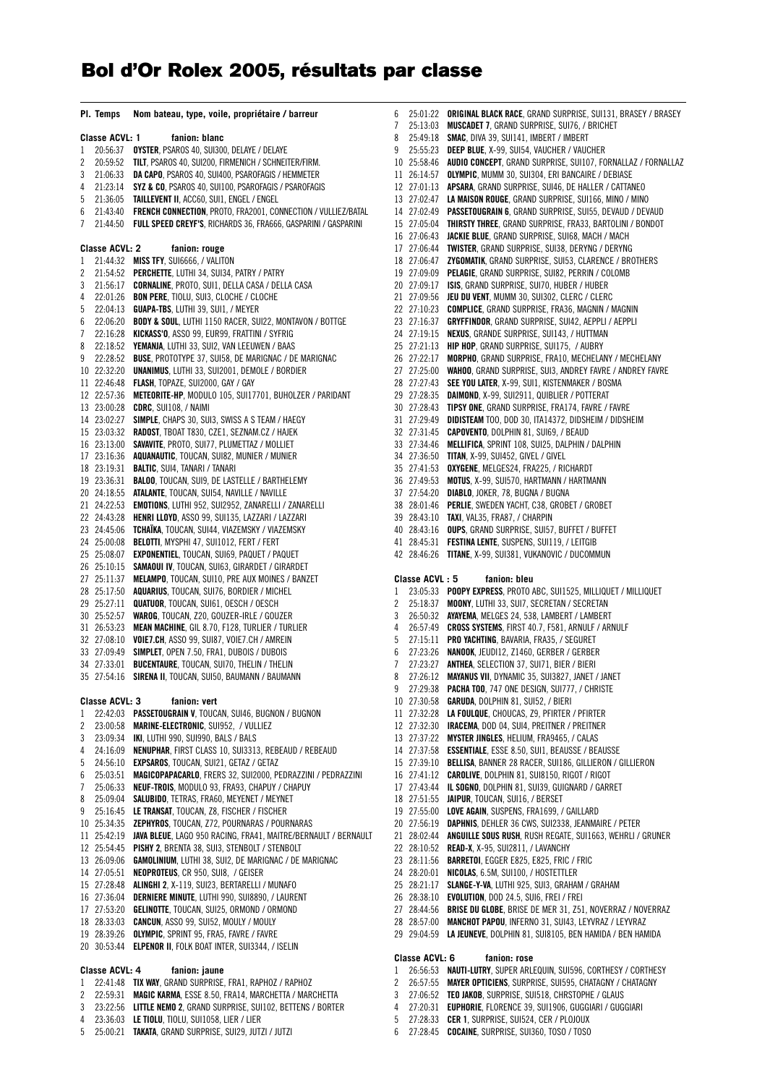## **Bol d'Or Rolex 2005, résultats par classe**

|                                 | PI. Temps                  | Nom bateau, type, voile, propriétaire / barreur                                                       |  |  |
|---------------------------------|----------------------------|-------------------------------------------------------------------------------------------------------|--|--|
|                                 | <b>Classe ACVL: 1</b>      | fanion: blanc                                                                                         |  |  |
| 1                               | 20:56:37                   | OYSTER, PSAROS 40, SUI300, DELAYE / DELAYE                                                            |  |  |
| 2                               | 20:59:52                   | <b>TILT, PSAROS 40, SUI200, FIRMENICH / SCHNEITER/FIRM.</b>                                           |  |  |
| 3                               | 21:06:33                   | DA CAPO, PSAROS 40, SUI400, PSAROFAGIS / HEMMETER                                                     |  |  |
| 4                               | 21:23:14                   | SYZ & CO, PSAROS 40, SUI100, PSAROFAGIS / PSAROFAGIS                                                  |  |  |
| 5                               | 21:36:05                   | <b>TAILLEVENT II, ACC60, SUI1, ENGEL / ENGEL</b>                                                      |  |  |
| 6                               | 21:43:40                   | FRENCH CONNECTION, PROTO, FRA2001, CONNECTION / VULLIEZ/BATAL                                         |  |  |
| 7                               | 21:44:50                   | <b>FULL SPEED CREYF'S, RICHARDS 36, FRA666, GASPARINI / GASPARINI</b>                                 |  |  |
|                                 |                            |                                                                                                       |  |  |
|                                 | Classe ACVL: 2             | fanion: rouge                                                                                         |  |  |
| 1                               | 21:44:32                   | <b>MISS TFY, SUI6666, / VALITON</b>                                                                   |  |  |
| 2                               | 21:54:52                   | PERCHETTE, LUTHI 34, SUI34, PATRY / PATRY                                                             |  |  |
| 3                               | 21:56:17                   | <b>CORNALINE</b> , PROTO, SUI1, DELLA CASA / DELLA CASA                                               |  |  |
| 4                               | 22:01:26                   | <b>BON PERE, TIOLU, SUI3, CLOCHE / CLOCHE</b>                                                         |  |  |
| 5                               | 22:04:13                   | GUAPA-TBS, LUTHI 39, SUI1, / MEYER                                                                    |  |  |
| 6                               | 22:06:20                   | <b>BODY &amp; SOUL, LUTHI 1150 RACER, SUI22, MONTAVON / BOTTGE</b>                                    |  |  |
| 7                               | 22:16:28                   | KICKASS'O, ASSO 99, EUR99, FRATTINI / SYFRIG                                                          |  |  |
| 8                               | 22:18:52                   | YEMANJA, LUTHI 33, SUI2, VAN LEEUWEN / BAAS                                                           |  |  |
| 9                               | 22:28:52                   | <b>BUSE, PROTOTYPE 37, SUI58, DE MARIGNAC / DE MARIGNAC</b>                                           |  |  |
|                                 | 10 22:32:20                | <b>UNANIMUS, LUTHI 33, SUI2001, DEMOLE / BORDIER</b>                                                  |  |  |
| 11                              | 22:46:48                   | FLASH, TOPAZE, SUI2000, GAY / GAY                                                                     |  |  |
| 12                              | 22:57:36                   | <b>METEORITE-HP, MODULO 105, SUI17701, BUHOLZER / PARIDANT</b>                                        |  |  |
| 13                              | 23:00:28                   | <b>CDRC</b> , SUI108, / NAIMI                                                                         |  |  |
|                                 | 14 23:02:27                | SIMPLE, CHAPS 30, SUI3, SWISS A S TEAM / HAEGY                                                        |  |  |
|                                 | 15 23:03:32                | RADOST, TBOAT T830, CZE1, SEZNAM.CZ / HAJEK                                                           |  |  |
| 16                              | 23:13:00                   | SAVAVITE, PROTO, SUI77, PLUMETTAZ / MOLLIET                                                           |  |  |
| 17                              | 23:16:36                   | AQUANAUTIC, TOUCAN, SUI82, MUNIER / MUNIER                                                            |  |  |
|                                 | 18 23:19:31                | <b>BALTIC, SUI4, TANARI / TANARI</b>                                                                  |  |  |
|                                 | 19 23:36:31                | <b>BALOO, TOUCAN, SUI9, DE LASTELLE / BARTHELEMY</b>                                                  |  |  |
|                                 | 20 24:18:55                | ATALANTE, TOUCAN, SUI54, NAVILLE / NAVILLE                                                            |  |  |
| 21                              | 24:22:53                   | EMOTIONS, LUTHI 952, SUI2952, ZANARELLI / ZANARELLI                                                   |  |  |
| 22                              | 24:43:28                   | <b>HENRI LLOYD, ASSO 99, SUI135, LAZZARI / LAZZARI</b>                                                |  |  |
| 23                              | 24:45:06                   | TCHAÏKA, TOUCAN, SUI44, VIAZEMSKY / VIAZEMSKY                                                         |  |  |
| 25                              | 24 25:00:08                | <b>BELOTTI, MYSPHI 47, SUI1012, FERT / FERT</b><br><b>EXPONENTIEL, TOUCAN, SUI69, PAQUET / PAQUET</b> |  |  |
| 26                              | 25:08:07<br>25:10:15       | SAMAOUI IV, TOUCAN, SUI63, GIRARDET / GIRARDET                                                        |  |  |
| 27                              | 25:11:37                   | <b>MELAMPO, TOUCAN, SUI10, PRE AUX MOINES / BANZET</b>                                                |  |  |
| 28                              | 25:17:50                   | <b>AQUARIUS</b> , TOUCAN, SUI76, BORDIER / MICHEL                                                     |  |  |
| 29                              | 25:27:11                   | <b>QUATUOR, TOUCAN, SUI61, OESCH / OESCH</b>                                                          |  |  |
|                                 | 30 25:52:57                | <b>WAROG, TOUCAN, Z20, GOUZER-IRLE / GOUZER</b>                                                       |  |  |
| 31                              | 26:53:23                   | <b>MEAN MACHINE, GIL 8.70, F128, TURLIER / TURLIER</b>                                                |  |  |
|                                 | 32 27:08:10                | VOIE7.CH, ASSO 99, SUI87, VOIE7.CH / AMREIN                                                           |  |  |
| 33                              | 27:09:49                   | SIMPLET, OPEN 7.50, FRA1, DUBOIS / DUBOIS                                                             |  |  |
|                                 | 34 27:33:01                | <b>BUCENTAURE, TOUCAN, SUI70, THELIN / THELIN</b>                                                     |  |  |
|                                 | 35 27:54:16                | SIRENA II, TOUCAN, SUI50, BAUMANN / BAUMANN                                                           |  |  |
|                                 |                            |                                                                                                       |  |  |
|                                 | Classe ACVL: 3<br>22:42:03 | fanion: vert<br>PASSETOUGRAIN V, TOUCAN, SUI46, BUGNON / BUGNON                                       |  |  |
| 1<br>2                          |                            | MARINE-ELECTRONIC, SUI952, / VULLIEZ                                                                  |  |  |
| 3                               | 23:00:58<br>23:09:34       | IKI, LUTHI 990, SUI990, BALS / BALS                                                                   |  |  |
| 4                               | 24:16:09                   | NENUPHAR, FIRST CLASS 10, SUI3313, REBEAUD / REBEAUD                                                  |  |  |
| 5                               | 24:56:10                   | EXPSAROS, TOUCAN, SUI21, GETAZ / GETAZ                                                                |  |  |
| 6                               | 25:03:51                   | <b>MAGICOPAPACARLO, FRERS 32, SUI2000, PEDRAZZINI / PEDRAZZINI</b>                                    |  |  |
| 7                               | 25:06:33                   | NEUF-TROIS, MODULO 93, FRA93, CHAPUY / CHAPUY                                                         |  |  |
| 8                               | 25:09:04                   | SALUBIDO, TETRAS, FRA60, MEYENET / MEYNET                                                             |  |  |
| 9                               | 25:16:45                   | LE TRANSAT, TOUCAN, Z8, FISCHER / FISCHER                                                             |  |  |
|                                 | 10 25:34:35                | ZEPHYROS, TOUCAN, Z72, POURNARAS / POURNARAS                                                          |  |  |
|                                 | 11 25:42:19                | JAVA BLEUE, LAGO 950 RACING, FRA41, MAITRE/BERNAULT / BERNAULT                                        |  |  |
|                                 | 12 25:54:45                | PISHY 2, BRENTA 38, SUI3, STENBOLT / STENBOLT                                                         |  |  |
|                                 | 13 26:09:06                | GAMOLINIUM, LUTHI 38, SUI2, DE MARIGNAC / DE MARIGNAC                                                 |  |  |
|                                 | 14 27:05:51                | <b>NEOPROTEUS,</b> CR 950, SUI8, / GEISER                                                             |  |  |
|                                 | 15 27:28:48                | ALINGHI 2, X-119, SUI23, BERTARELLI / MUNAFO                                                          |  |  |
|                                 | 16 27:36:04                | DERNIERE MINUTE, LUTHI 990, SUI8890, / LAURENT                                                        |  |  |
|                                 | 17 27:53:20                | GELINOTTE, TOUCAN, SUI25, ORMOND / ORMOND                                                             |  |  |
|                                 | 18 28:33:03                | <b>CANCUN, ASSO 99, SUI52, MOULY / MOULY</b>                                                          |  |  |
|                                 | 19 28:39:26                | OLYMPIC, SPRINT 95, FRA5, FAVRE / FAVRE                                                               |  |  |
|                                 | 20 30:53:44                | ELPENOR II, FOLK BOAT INTER, SUI3344, / ISELIN                                                        |  |  |
| Classe ACVL: 4<br>fanion: jaune |                            |                                                                                                       |  |  |
| 1                               | 22:41:48                   | TIX WAY, GRAND SURPRISE, FRA1, RAPHOZ / RAPHOZ                                                        |  |  |
| 2                               | 22:59:31                   | <b>MAGIC KARMA, ESSE 8.50, FRA14, MARCHETTA / MARCHETTA</b>                                           |  |  |
| 3                               | 23:22:56                   | LITTLE NEMO 2, GRAND SURPRISE, SUI102, BETTENS / BORTER                                               |  |  |

4 23:36:03 **LE TIOLU**, TIOLU, SUI1058, LIER / LIER 5 25:00:21 **TAKATA**, GRAND SURPRISE, SUI29, JUTZI / JUTZI

| 6        | 25:01:22                   | ORIGINAL BLACK RACE, GRAND SURPRISE, SUI131, BRASEY / BRASEY                                                      |
|----------|----------------------------|-------------------------------------------------------------------------------------------------------------------|
| 7        | 25:13:03                   | MUSCADET 7, GRAND SURPRISE, SUI76, / BRICHET                                                                      |
| 8        | 25:49:18                   | <b>SMAC, DIVA 39, SUI141, IMBERT / IMBERT</b>                                                                     |
| 9        | 25:55:23                   | DEEP BLUE, X-99, SUI54, VAUCHER / VAUCHER                                                                         |
| 10       | 25:58:46                   | AUDIO CONCEPT, GRAND SURPRISE, SUI107, FORNALLAZ / FORNALLAZ                                                      |
| 11       | 26:14:57                   | OLYMPIC, MUMM 30, SUI304, ERI BANCAIRE / DEBIASE                                                                  |
| 12<br>13 | 27:01:13<br>27:02:47       | APSARA, GRAND SURPRISE, SUI46, DE HALLER / CATTANEO<br>LA MAISON ROUGE, GRAND SURPRISE, SUI166, MINO / MINO       |
| 14       | 27:02:49                   | <b>PASSETOUGRAIN 6, GRAND SURPRISE, SUI55, DEVAUD / DEVAUD</b>                                                    |
| 15       | 27:05:04                   | THIRSTY THREE, GRAND SURPRISE, FRA33, BARTOLINI / BONDOT                                                          |
| 16       | 27:06:43                   | JACKIE BLUE, GRAND SURPRISE, SUI68, MACH / MACH                                                                   |
| 17       | 27:06:44                   | <b>TWISTER, GRAND SURPRISE, SUI38, DERYNG / DERYNG</b>                                                            |
| 18       | 27:06:47                   | ZYGOMATIK, GRAND SURPRISE, SUI53, CLARENCE / BROTHERS                                                             |
| 19       | 27:09:09                   | PELAGIE, GRAND SURPRISE, SUI82, PERRIN / COLOMB                                                                   |
| 20       | 27:09:17                   | ISIS, GRAND SURPRISE, SUI70, HUBER / HUBER                                                                        |
| 21       | 27:09:56                   | JEU DU VENT, MUMM 30, SUI302, CLERC / CLERC                                                                       |
| 22       | 27:10:23                   | <b>COMPLICE, GRAND SURPRISE, FRA36, MAGNIN / MAGNIN</b>                                                           |
| 23       | 27:16:37                   | GRYFFINDOR, GRAND SURPRISE, SUI42, AEPPLI / AEPPLI                                                                |
| 24       | 27:19:15                   | NEXUS, GRANDE SURPRISE, SUI143, / HUTTMAN                                                                         |
| 25       | 27:21:13                   | <b>HIP HOP, GRAND SURPRISE, SUI175, / AUBRY</b>                                                                   |
| 26       | 27:22:17                   | <b>MORPHO, GRAND SURPRISE, FRA10, MECHELANY / MECHELANY</b>                                                       |
| 27       | 27:25:00                   | <b>WAHOO, GRAND SURPRISE, SUI3, ANDREY FAVRE / ANDREY FAVRE</b><br>SEE YOU LATER, X-99, SUI1, KISTENMAKER / BOSMA |
| 28       | 27:27:43<br>27:28:35       |                                                                                                                   |
| 29<br>30 | 27:28:43                   | DAIMOND, X-99, SUI2911, QUIBLIER / POTTERAT<br><b>TIPSY ONE, GRAND SURPRISE, FRA174, FAVRE / FAVRE</b>            |
| 31       | 27:29:49                   | DIDISTEAM TOO, DOD 30, ITA14372, DIDSHEIM / DIDSHEIM                                                              |
| 32       | 27:31:45                   | CAPOVENTO, DOLPHIN 81, SUI69, / BEAUD                                                                             |
| 33       | 27:34:46                   | MELLIFICA, SPRINT 108, SUI25, DALPHIN / DALPHIN                                                                   |
| 34       | 27:36:50                   | TITAN, X-99, SUI452, GIVEL / GIVEL                                                                                |
| 35       | 27:41:53                   | OXYGENE, MELGES24, FRA225, / RICHARDT                                                                             |
| 36       | 27:49:53                   | MOTUS, X-99, SUI570, HARTMANN / HARTMANN                                                                          |
| 37       | 27:54:20                   | DIABLO, JOKER, 78, BUGNA / BUGNA                                                                                  |
| 38       | 28:01:46                   | <b>PERLIE, SWEDEN YACHT, C38, GROBET / GROBET</b>                                                                 |
| 39       | 28:43:10                   | TAXI, VAL35, FRA87, / CHARPIN                                                                                     |
|          |                            |                                                                                                                   |
|          | 40 28:43:16                | <b>OUPS, GRAND SURPRISE, SUI57, BUFFET / BUFFET</b>                                                               |
| 41       | 28:45:31                   | <b>FESTINA LENTE, SUSPENS, SUI119, / LEITGIB</b>                                                                  |
| 42       | 28:46:26                   | TITANE, X-99, SUI381, VUKANOVIC / DUCOMMUN                                                                        |
|          |                            |                                                                                                                   |
|          | Classe ACVL: 5             | fanion: bleu                                                                                                      |
| 1<br>2   | 23:05:33<br>25:18:37       | <b>POOPY EXPRESS, PROTO ABC, SUI1525, MILLIQUET / MILLIQUET</b><br>MOONY, LUTHI 33, SUI7, SECRETAN / SECRETAN     |
| 3        | 26:50:32                   | AYAYEMA, MELGES 24, 538, LAMBERT / LAMBERT                                                                        |
| 4        | 26:57:49                   | <b>CROSS SYSTEMS, FIRST 40.7, F581, ARNULF / ARNULF</b>                                                           |
| 5        | 27:15:11                   | PRO YACHTING, BAVARIA, FRA35, / SEGURET                                                                           |
| 6        | 27:23:26                   | NANOOK, JEUDI12, Z1460, GERBER / GERBER                                                                           |
| 7        | 27:23:27                   | ANTHEA, SELECTION 37, SUI71, BIER / BIERI                                                                         |
| 8        | 27:26:12                   | MAYANUS VII, DYNAMIC 35, SUI3827, JANET / JANET                                                                   |
| 9        | 27:29:38                   | <b>PACHA TOO,</b> 747 ONE DESIGN, SUI777, / CHRISTE                                                               |
|          | 10 27:30:58                | GARUDA, DOLPHIN 81, SUI52, / BIERI                                                                                |
| 11       | 27:32:28                   | LA FOULQUE, CHOUCAS, Z9, PFIRTER / PFIRTER                                                                        |
|          | 12 27:32:30                | IRACEMA, DOD 04, SUI4, PREITNER / PREITNER                                                                        |
|          | 13 27:37:22                | MYSTER JINGLES, HELIUM, FRA9465, / CALAS                                                                          |
| 14       | 27:37:58                   | <b>ESSENTIALE, ESSE 8.50, SUI1, BEAUSSE / BEAUSSE</b><br>BELLISA, BANNER 28 RACER, SUI186, GILLIERON / GILLIERON  |
|          | 15 27:39:10<br>16 27:41:12 | CAROLIVE, DOLPHIN 81, SUI8150, RIGOT / RIGOT                                                                      |
| 17       | 27:43:44                   | IL SOGNO, DOLPHIN 81, SUI39, GUIGNARD / GARRET                                                                    |
|          | 18 27:51:55                | JAIPUR, TOUCAN, SUI16, / BERSET                                                                                   |
|          | 19 27:55:00                | LOVE AGAIN, SUSPENS, FRA1699, / GAILLARD                                                                          |
|          | 20 27:56:19                | DAPHNIS, DEHLER 36 CWS, SUI2338, JEANMAIRE / PETER                                                                |
| 21       | 28:02:44                   | <b>ANGUILLE SOUS RUSH</b> , RUSH REGATE, SUI1663, WEHRLI / GRUNER                                                 |
|          | 22 28:10:52                | <b>READ-X, X-95, SUI2811, / LAVANCHY</b>                                                                          |
|          | 23 28:11:56                | <b>BARRETOI, EGGER E825, E825, FRIC / FRIC</b>                                                                    |
|          | 24 28:20:01                | NICOLAS, 6.5M, SUI100, / HOSTETTLER                                                                               |
|          | 25 28:21:17                | SLANGE-Y-VA, LUTHI 925, SUI3, GRAHAM / GRAHAM                                                                     |
|          | 26 28:38:10                | EVOLUTION, DOD 24.5, SUI6, FREI / FREI                                                                            |
| 27       | 28:44:56                   | <b>BRISE DU GLOBE, BRISE DE MER 31, Z51, NOVERRAZ / NOVERRAZ</b>                                                  |
| 28       | 28:57:00                   | MANCHOT PAPOU, INFERNO 31, SUI43, LEYVRAZ / LEYVRAZ                                                               |
|          | 29 29:04:59                | LA JEUNEVE, DOLPHIN 81, SUI8105, BEN HAMIDA / BEN HAMIDA                                                          |

**Classe ACVL: 6 fanion: rose** 1 26:56:53 **NAUTI-LUTRY**, SUPER ARLEQUIN, SUI596, CORTHESY / CORTHESY

2 26:57:55 **MAYER OPTICIENS**, SURPRISE, SUI595, CHATAGNY / CHATAGNY

3 27:06:52 **TEO JAKOB**, SURPRISE, SUI518, CHRSTOPHE / GLAUS

4 27:20:31 **EUPHORIE**, FLORENCE 39, SUI1906, GUGGIARI / GUGGIARI

5 27:28:33 **CER 1**, SURPRISE, SUI524, CER / PLOJOUX

6 27:28:45 **COCAINE**, SURPRISE, SUI360, TOSO / TOSO